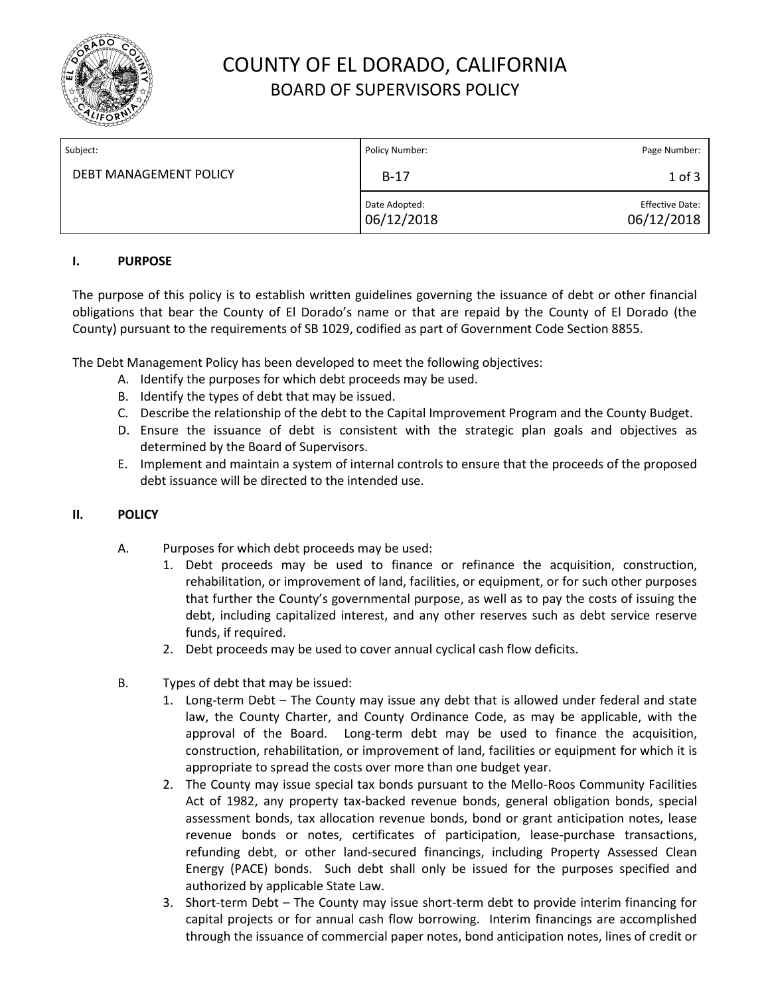

# COUNTY OF EL DORADO, CALIFORNIA BOARD OF SUPERVISORS POLICY

| Subject:               | Policy Number:              | Page Number:                         |
|------------------------|-----------------------------|--------------------------------------|
| DEBT MANAGEMENT POLICY | $B-17$                      | $1$ of $3$                           |
|                        | Date Adopted:<br>06/12/2018 | <b>Effective Date:</b><br>06/12/2018 |

### **I. PURPOSE**

The purpose of this policy is to establish written guidelines governing the issuance of debt or other financial obligations that bear the County of El Dorado's name or that are repaid by the County of El Dorado (the County) pursuant to the requirements of SB 1029, codified as part of Government Code Section 8855.

The Debt Management Policy has been developed to meet the following objectives:

- A. Identify the purposes for which debt proceeds may be used.
- B. Identify the types of debt that may be issued.
- C. Describe the relationship of the debt to the Capital Improvement Program and the County Budget.
- D. Ensure the issuance of debt is consistent with the strategic plan goals and objectives as determined by the Board of Supervisors.
- E. Implement and maintain a system of internal controls to ensure that the proceeds of the proposed debt issuance will be directed to the intended use.

### **II. POLICY**

- A. Purposes for which debt proceeds may be used:
	- 1. Debt proceeds may be used to finance or refinance the acquisition, construction, rehabilitation, or improvement of land, facilities, or equipment, or for such other purposes that further the County's governmental purpose, as well as to pay the costs of issuing the debt, including capitalized interest, and any other reserves such as debt service reserve funds, if required.
		- 2. Debt proceeds may be used to cover annual cyclical cash flow deficits.
- B. Types of debt that may be issued:
	- 1. Long-term Debt The County may issue any debt that is allowed under federal and state law, the County Charter, and County Ordinance Code, as may be applicable, with the approval of the Board. Long-term debt may be used to finance the acquisition, construction, rehabilitation, or improvement of land, facilities or equipment for which it is appropriate to spread the costs over more than one budget year.
	- 2. The County may issue special tax bonds pursuant to the Mello-Roos Community Facilities Act of 1982, any property tax-backed revenue bonds, general obligation bonds, special assessment bonds, tax allocation revenue bonds, bond or grant anticipation notes, lease revenue bonds or notes, certificates of participation, lease-purchase transactions, refunding debt, or other land-secured financings, including Property Assessed Clean Energy (PACE) bonds. Such debt shall only be issued for the purposes specified and authorized by applicable State Law.
	- 3. Short-term Debt The County may issue short-term debt to provide interim financing for capital projects or for annual cash flow borrowing. Interim financings are accomplished through the issuance of commercial paper notes, bond anticipation notes, lines of credit or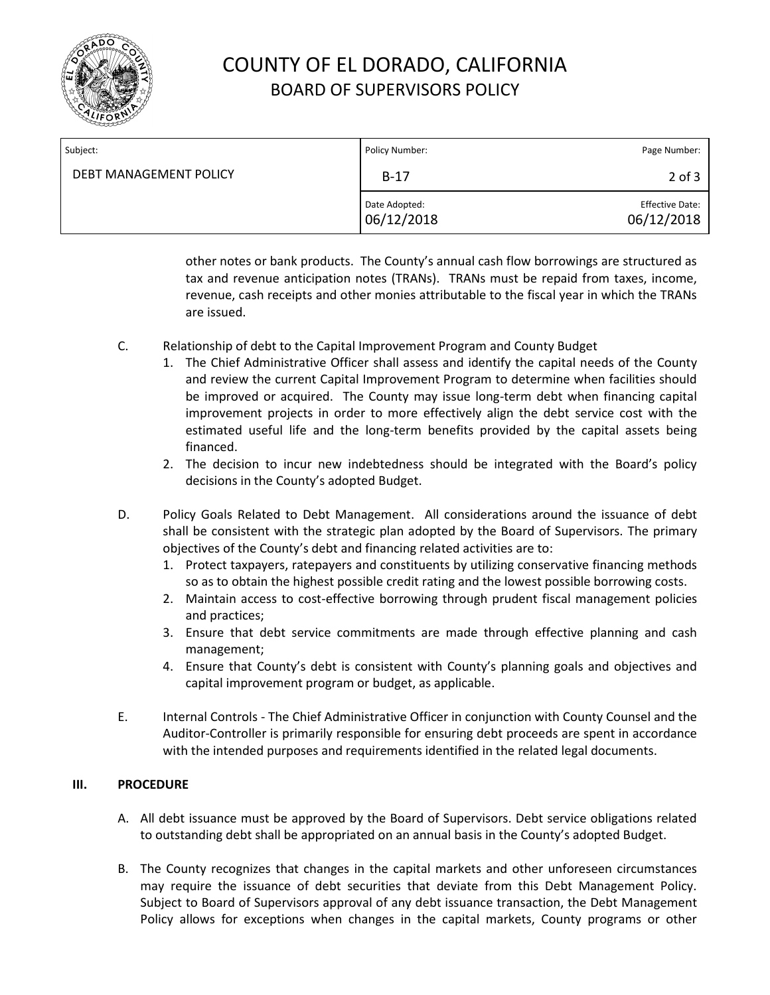

# COUNTY OF EL DORADO, CALIFORNIA BOARD OF SUPERVISORS POLICY

| Subject:               | Policy Number:              | Page Number:                         |
|------------------------|-----------------------------|--------------------------------------|
| DEBT MANAGEMENT POLICY | $B-17$                      | $2$ of $3$                           |
|                        | Date Adopted:<br>06/12/2018 | <b>Effective Date:</b><br>06/12/2018 |

other notes or bank products. The County's annual cash flow borrowings are structured as tax and revenue anticipation notes (TRANs). TRANs must be repaid from taxes, income, revenue, cash receipts and other monies attributable to the fiscal year in which the TRANs are issued.

- C. Relationship of debt to the Capital Improvement Program and County Budget
	- 1. The Chief Administrative Officer shall assess and identify the capital needs of the County and review the current Capital Improvement Program to determine when facilities should be improved or acquired. The County may issue long-term debt when financing capital improvement projects in order to more effectively align the debt service cost with the estimated useful life and the long-term benefits provided by the capital assets being financed.
	- 2. The decision to incur new indebtedness should be integrated with the Board's policy decisions in the County's adopted Budget.
- D. Policy Goals Related to Debt Management. All considerations around the issuance of debt shall be consistent with the strategic plan adopted by the Board of Supervisors. The primary objectives of the County's debt and financing related activities are to:
	- 1. Protect taxpayers, ratepayers and constituents by utilizing conservative financing methods so as to obtain the highest possible credit rating and the lowest possible borrowing costs.
	- 2. Maintain access to cost-effective borrowing through prudent fiscal management policies and practices;
	- 3. Ensure that debt service commitments are made through effective planning and cash management;
	- 4. Ensure that County's debt is consistent with County's planning goals and objectives and capital improvement program or budget, as applicable.
- E. Internal Controls The Chief Administrative Officer in conjunction with County Counsel and the Auditor-Controller is primarily responsible for ensuring debt proceeds are spent in accordance with the intended purposes and requirements identified in the related legal documents.

### **III. PROCEDURE**

- A. All debt issuance must be approved by the Board of Supervisors. Debt service obligations related to outstanding debt shall be appropriated on an annual basis in the County's adopted Budget.
- B. The County recognizes that changes in the capital markets and other unforeseen circumstances may require the issuance of debt securities that deviate from this Debt Management Policy. Subject to Board of Supervisors approval of any debt issuance transaction, the Debt Management Policy allows for exceptions when changes in the capital markets, County programs or other